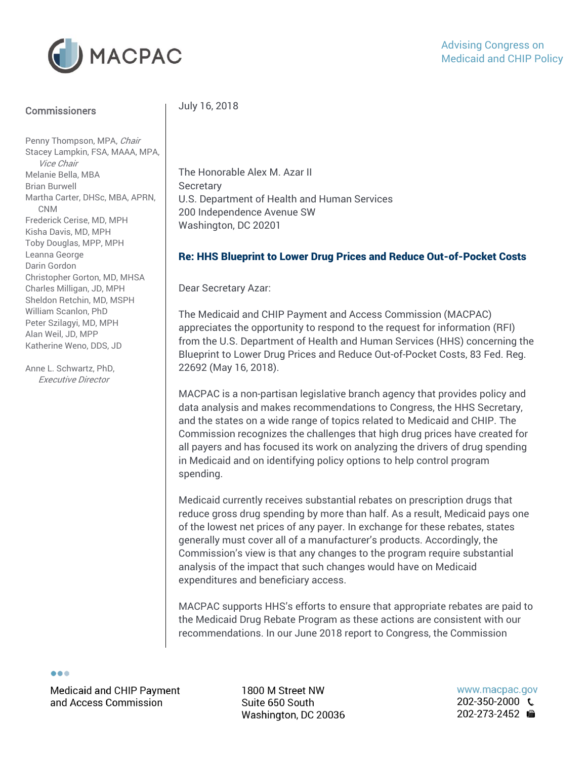

#### **Commissioners**

Penny Thompson, MPA, Chair Stacey Lampkin, FSA, MAAA, MPA, Vice Chair Melanie Bella, MBA Brian Burwell Martha Carter, DHSc, MBA, APRN, CNM Frederick Cerise, MD, MPH Kisha Davis, MD, MPH Toby Douglas, MPP, MPH Leanna George Darin Gordon Christopher Gorton, MD, MHSA Charles Milligan, JD, MPH Sheldon Retchin, MD, MSPH William Scanlon, PhD Peter Szilagyi, MD, MPH Alan Weil, JD, MPP Katherine Weno, DDS, JD

Anne L. Schwartz, PhD, Executive Director

### July 16, 2018

The Honorable Alex M. Azar II **Secretary** U.S. Department of Health and Human Services 200 Independence Avenue SW Washington, DC 20201

#### Re: HHS Blueprint to Lower Drug Prices and Reduce Out-of-Pocket Costs

Dear Secretary Azar:

The Medicaid and CHIP Payment and Access Commission (MACPAC) appreciates the opportunity to respond to the request for information (RFI) from the U.S. Department of Health and Human Services (HHS) concerning the Blueprint to Lower Drug Prices and Reduce Out-of-Pocket Costs, 83 Fed. Reg. 22692 (May 16, 2018).

MACPAC is a non-partisan legislative branch agency that provides policy and data analysis and makes recommendations to Congress, the HHS Secretary, and the states on a wide range of topics related to Medicaid and CHIP. The Commission recognizes the challenges that high drug prices have created for all payers and has focused its work on analyzing the drivers of drug spending in Medicaid and on identifying policy options to help control program spending.

Medicaid currently receives substantial rebates on prescription drugs that reduce gross drug spending by more than half. As a result, Medicaid pays one of the lowest net prices of any payer. In exchange for these rebates, states generally must cover all of a manufacturer's products. Accordingly, the Commission's view is that any changes to the program require substantial analysis of the impact that such changes would have on Medicaid expenditures and beneficiary access.

MACPAC supports HHS's efforts to ensure that appropriate rebates are paid to the Medicaid Drug Rebate Program as these actions are consistent with our recommendations. In our June 2018 report to Congress, the Commission

 $\bullet\bullet\bullet$ 

Medicaid and CHIP Payment and Access Commission

1800 M Street NW Suite 650 South Washington, DC 20036 www.macpac.gov 202-350-2000 € 202-273-2452 囁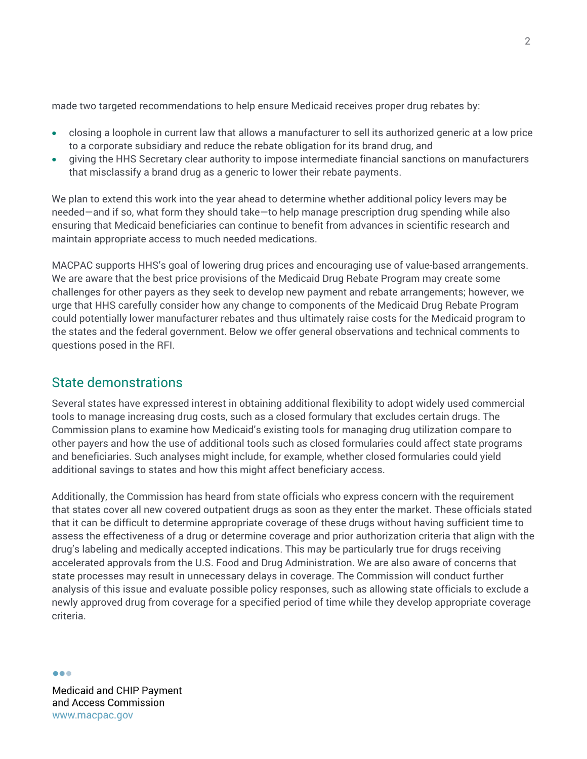made two targeted recommendations to help ensure Medicaid receives proper drug rebates by:

- closing a loophole in current law that allows a manufacturer to sell its authorized generic at a low price to a corporate subsidiary and reduce the rebate obligation for its brand drug, and
- giving the HHS Secretary clear authority to impose intermediate financial sanctions on manufacturers that misclassify a brand drug as a generic to lower their rebate payments.

We plan to extend this work into the year ahead to determine whether additional policy levers may be needed—and if so, what form they should take—to help manage prescription drug spending while also ensuring that Medicaid beneficiaries can continue to benefit from advances in scientific research and maintain appropriate access to much needed medications.

MACPAC supports HHS's goal of lowering drug prices and encouraging use of value-based arrangements. We are aware that the best price provisions of the Medicaid Drug Rebate Program may create some challenges for other payers as they seek to develop new payment and rebate arrangements; however, we urge that HHS carefully consider how any change to components of the Medicaid Drug Rebate Program could potentially lower manufacturer rebates and thus ultimately raise costs for the Medicaid program to the states and the federal government. Below we offer general observations and technical comments to questions posed in the RFI.

### State demonstrations

Several states have expressed interest in obtaining additional flexibility to adopt widely used commercial tools to manage increasing drug costs, such as a closed formulary that excludes certain drugs. The Commission plans to examine how Medicaid's existing tools for managing drug utilization compare to other payers and how the use of additional tools such as closed formularies could affect state programs and beneficiaries. Such analyses might include, for example, whether closed formularies could yield additional savings to states and how this might affect beneficiary access.

Additionally, the Commission has heard from state officials who express concern with the requirement that states cover all new covered outpatient drugs as soon as they enter the market. These officials stated that it can be difficult to determine appropriate coverage of these drugs without having sufficient time to assess the effectiveness of a drug or determine coverage and prior authorization criteria that align with the drug's labeling and medically accepted indications. This may be particularly true for drugs receiving accelerated approvals from the U.S. Food and Drug Administration. We are also aware of concerns that state processes may result in unnecessary delays in coverage. The Commission will conduct further analysis of this issue and evaluate possible policy responses, such as allowing state officials to exclude a newly approved drug from coverage for a specified period of time while they develop appropriate coverage criteria.

--

**Medicaid and CHIP Payment** and Access Commission www.macpac.gov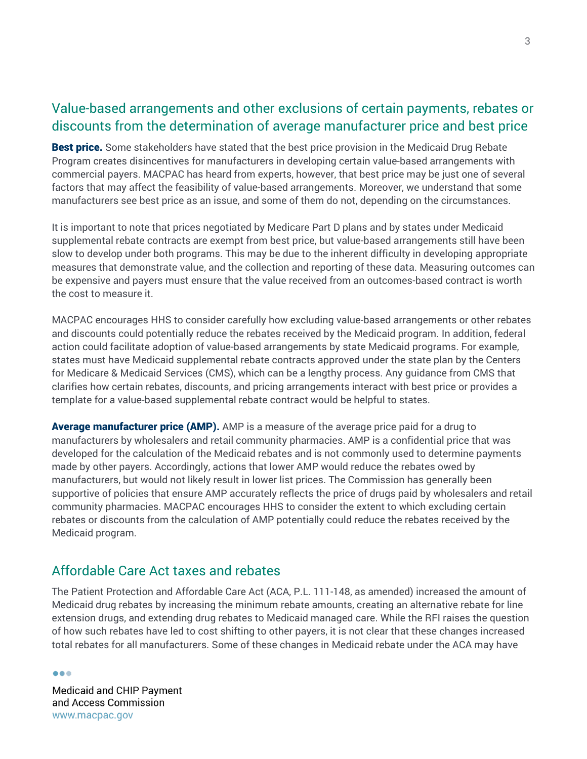## Value-based arrangements and other exclusions of certain payments, rebates or discounts from the determination of average manufacturer price and best price

Best price. Some stakeholders have stated that the best price provision in the Medicaid Drug Rebate Program creates disincentives for manufacturers in developing certain value-based arrangements with commercial payers. MACPAC has heard from experts, however, that best price may be just one of several factors that may affect the feasibility of value-based arrangements. Moreover, we understand that some manufacturers see best price as an issue, and some of them do not, depending on the circumstances.

It is important to note that prices negotiated by Medicare Part D plans and by states under Medicaid supplemental rebate contracts are exempt from best price, but value-based arrangements still have been slow to develop under both programs. This may be due to the inherent difficulty in developing appropriate measures that demonstrate value, and the collection and reporting of these data. Measuring outcomes can be expensive and payers must ensure that the value received from an outcomes-based contract is worth the cost to measure it.

MACPAC encourages HHS to consider carefully how excluding value-based arrangements or other rebates and discounts could potentially reduce the rebates received by the Medicaid program. In addition, federal action could facilitate adoption of value-based arrangements by state Medicaid programs. For example, states must have Medicaid supplemental rebate contracts approved under the state plan by the Centers for Medicare & Medicaid Services (CMS), which can be a lengthy process. Any guidance from CMS that clarifies how certain rebates, discounts, and pricing arrangements interact with best price or provides a template for a value-based supplemental rebate contract would be helpful to states.

**Average manufacturer price (AMP).** AMP is a measure of the average price paid for a drug to manufacturers by wholesalers and retail community pharmacies. AMP is a confidential price that was developed for the calculation of the Medicaid rebates and is not commonly used to determine payments made by other payers. Accordingly, actions that lower AMP would reduce the rebates owed by manufacturers, but would not likely result in lower list prices. The Commission has generally been supportive of policies that ensure AMP accurately reflects the price of drugs paid by wholesalers and retail community pharmacies. MACPAC encourages HHS to consider the extent to which excluding certain rebates or discounts from the calculation of AMP potentially could reduce the rebates received by the Medicaid program.

### Affordable Care Act taxes and rebates

The Patient Protection and Affordable Care Act (ACA, P.L. 111-148, as amended) increased the amount of Medicaid drug rebates by increasing the minimum rebate amounts, creating an alternative rebate for line extension drugs, and extending drug rebates to Medicaid managed care. While the RFI raises the question of how such rebates have led to cost shifting to other payers, it is not clear that these changes increased total rebates for all manufacturers. Some of these changes in Medicaid rebate under the ACA may have

--

**Medicaid and CHIP Payment** and Access Commission www.macpac.gov